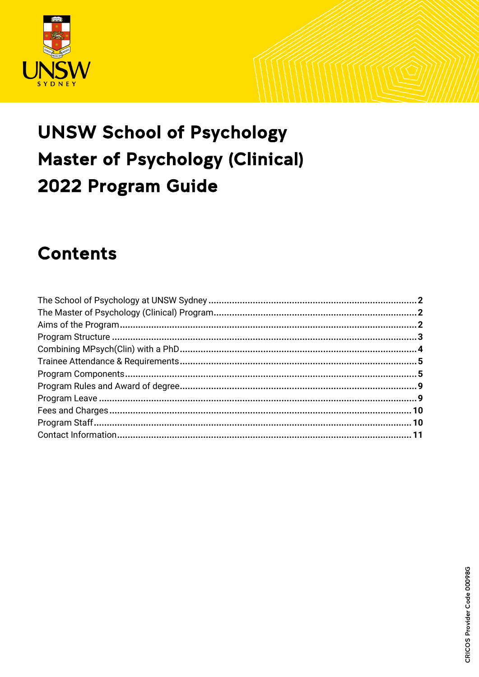

# **UNSW School of Psychology Master of Psychology (Clinical)** 2022 Program Guide

# **Contents**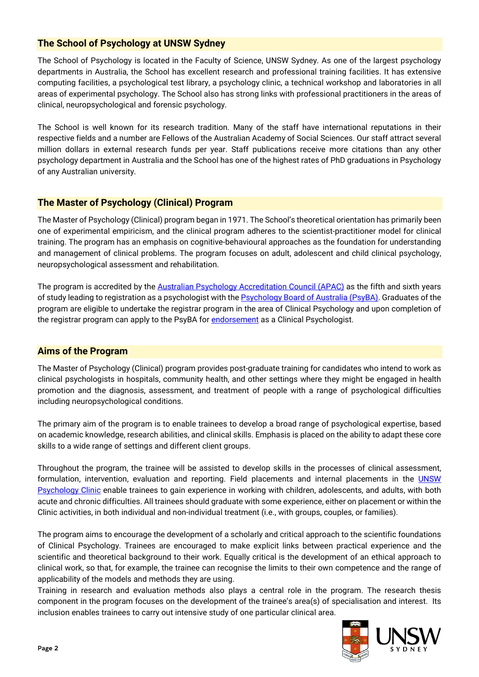# <span id="page-1-0"></span>**The School of Psychology at UNSW Sydney**

The School of Psychology is located in the Faculty of Science, UNSW Sydney. As one of the largest psychology departments in Australia, the School has excellent research and professional training facilities. It has extensive computing facilities, a psychological test library, a psychology clinic, a technical workshop and laboratories in all areas of experimental psychology. The School also has strong links with professional practitioners in the areas of clinical, neuropsychological and forensic psychology.

The School is well known for its research tradition. Many of the staff have international reputations in their respective fields and a number are Fellows of the Australian Academy of Social Sciences. Our staff attract several million dollars in external research funds per year. Staff publications receive more citations than any other psychology department in Australia and the School has one of the highest rates of PhD graduations in Psychology of any Australian university.

# <span id="page-1-1"></span>**The Master of Psychology (Clinical) Program**

The Master of Psychology (Clinical) program began in 1971. The School's theoretical orientation has primarily been one of experimental empiricism, and the clinical program adheres to the scientist-practitioner model for clinical training. The program has an emphasis on cognitive-behavioural approaches as the foundation for understanding and management of clinical problems. The program focuses on adult, adolescent and child clinical psychology, neuropsychological assessment and rehabilitation.

The program is accredited by the [Australian Psychology Accreditation Council \(APAC\)](http://www.psychologycouncil.org.au/) as the fifth and sixth years of study leading to registration as a psychologist with th[e Psychology Board of Australia \(PsyBA\).](https://www.psychologyboard.gov.au/) Graduates of the program are eligible to undertake the registrar program in the area of Clinical Psychology and upon completion of the registrar program can apply to the PsyBA for [endorsement](https://www.psychologyboard.gov.au/endorsement.aspx) as a Clinical Psychologist.

#### <span id="page-1-2"></span>**Aims of the Program**

The Master of Psychology (Clinical) program provides post-graduate training for candidates who intend to work as clinical psychologists in hospitals, community health, and other settings where they might be engaged in health promotion and the diagnosis, assessment, and treatment of people with a range of psychological difficulties including neuropsychological conditions.

The primary aim of the program is to enable trainees to develop a broad range of psychological expertise, based on academic knowledge, research abilities, and clinical skills. Emphasis is placed on the ability to adapt these core skills to a wide range of settings and different client groups.

Throughout the program, the trainee will be assisted to develop skills in the processes of clinical assessment, formulation, intervention, evaluation and reporting. Field placements and internal placements in the **UNSW** [Psychology Clinic](http://www.clinic.psy.unsw.edu.au/) enable trainees to gain experience in working with children, adolescents, and adults, with both acute and chronic difficulties. All trainees should graduate with some experience, either on placement or within the Clinic activities, in both individual and non-individual treatment (i.e., with groups, couples, or families).

The program aims to encourage the development of a scholarly and critical approach to the scientific foundations of Clinical Psychology. Trainees are encouraged to make explicit links between practical experience and the scientific and theoretical background to their work. Equally critical is the development of an ethical approach to clinical work, so that, for example, the trainee can recognise the limits to their own competence and the range of applicability of the models and methods they are using.

Training in research and evaluation methods also plays a central role in the program. The research thesis component in the program focuses on the development of the trainee's area(s) of specialisation and interest. Its inclusion enables trainees to carry out intensive study of one particular clinical area.

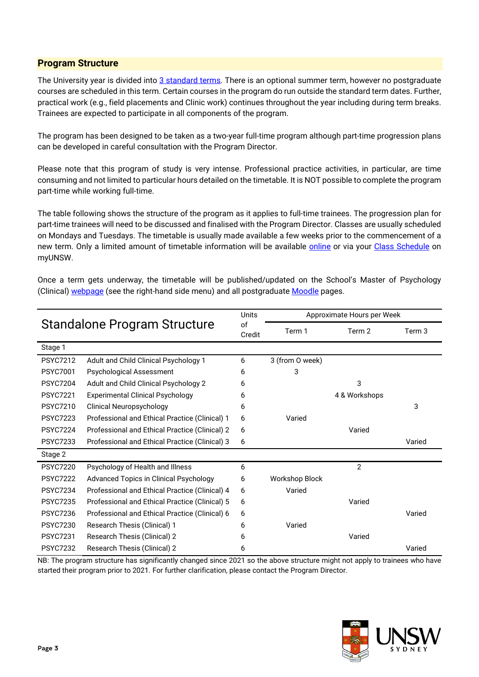# <span id="page-2-0"></span>**Program Structure**

The University year is divided into [3 standard terms.](https://student.unsw.edu.au/calendar) There is an optional summer term, however no postgraduate courses are scheduled in this term. Certain courses in the program do run outside the standard term dates. Further, practical work (e.g., field placements and Clinic work) continues throughout the year including during term breaks. Trainees are expected to participate in all components of the program.

The program has been designed to be taken as a two-year full-time program although part-time progression plans can be developed in careful consultation with the Program Director.

Please note that this program of study is very intense. Professional practice activities, in particular, are time consuming and not limited to particular hours detailed on the timetable. It is NOT possible to complete the program part-time while working full-time.

The table following shows the structure of the program as it applies to full-time trainees. The progression plan for part-time trainees will need to be discussed and finalised with the Program Director. Classes are usually scheduled on Mondays and Tuesdays. The timetable is usually made available a few weeks prior to the commencement of a new term. Only a limited amount of timetable information will be available [online](http://timetable.unsw.edu.au/current/PSYCKENS.html#PGRD) or via your [Class Schedule](https://student.unsw.edu.au/timetable) on myUNSW.

Once a term gets underway, the timetable will be published/updated on the School's Master of Psychology (Clinical) [webpage](https://www.psy.unsw.edu.au/postgraduate-coursework/master-psychology-clinical) (see the right-hand side menu) and all postgraduate [Moodle](https://moodle.telt.unsw.edu.au/) pages.

| <b>Standalone Program Structure</b> |                                                | Units        | Approximate Hours per Week |                |        |
|-------------------------------------|------------------------------------------------|--------------|----------------------------|----------------|--------|
|                                     |                                                | of<br>Credit | Term 1                     | Term 2         | Term 3 |
| Stage 1                             |                                                |              |                            |                |        |
| <b>PSYC7212</b>                     | Adult and Child Clinical Psychology 1          | 6            | 3 (from O week)            |                |        |
| <b>PSYC7001</b>                     | <b>Psychological Assessment</b>                | 6            | 3                          |                |        |
| <b>PSYC7204</b>                     | Adult and Child Clinical Psychology 2          | 6            |                            | 3              |        |
| <b>PSYC7221</b>                     | <b>Experimental Clinical Psychology</b>        | 6            |                            | 4 & Workshops  |        |
| <b>PSYC7210</b>                     | <b>Clinical Neuropsychology</b>                | 6            |                            |                | 3      |
| <b>PSYC7223</b>                     | Professional and Ethical Practice (Clinical) 1 | 6            | Varied                     |                |        |
| <b>PSYC7224</b>                     | Professional and Ethical Practice (Clinical) 2 | 6            |                            | Varied         |        |
| <b>PSYC7233</b>                     | Professional and Ethical Practice (Clinical) 3 | 6            |                            |                | Varied |
| Stage 2                             |                                                |              |                            |                |        |
| <b>PSYC7220</b>                     | Psychology of Health and Illness               | 6            |                            | $\overline{2}$ |        |
| <b>PSYC7222</b>                     | Advanced Topics in Clinical Psychology         | 6            | Workshop Block             |                |        |
| <b>PSYC7234</b>                     | Professional and Ethical Practice (Clinical) 4 | 6            | Varied                     |                |        |
| <b>PSYC7235</b>                     | Professional and Ethical Practice (Clinical) 5 | 6            |                            | Varied         |        |
| <b>PSYC7236</b>                     | Professional and Ethical Practice (Clinical) 6 | 6            |                            |                | Varied |
| <b>PSYC7230</b>                     | Research Thesis (Clinical) 1                   | 6            | Varied                     |                |        |
| <b>PSYC7231</b>                     | Research Thesis (Clinical) 2                   | 6            |                            | Varied         |        |
| <b>PSYC7232</b>                     | Research Thesis (Clinical) 2                   | 6            |                            |                | Varied |

NB: The program structure has significantly changed since 2021 so the above structure might not apply to trainees who have started their program prior to 2021. For further clarification, please contact the Program Director.

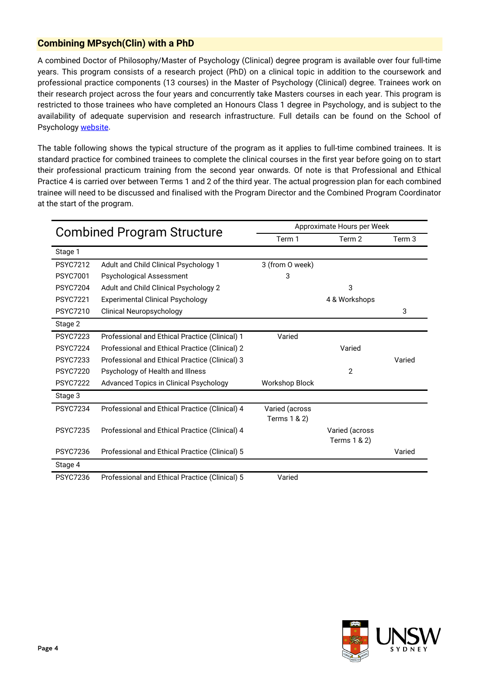# <span id="page-3-0"></span>**Combining MPsych(Clin) with a PhD**

A combined Doctor of Philosophy/Master of Psychology (Clinical) degree program is available over four full-time years. This program consists of a research project (PhD) on a clinical topic in addition to the coursework and professional practice components (13 courses) in the Master of Psychology (Clinical) degree. Trainees work on their research project across the four years and concurrently take Masters courses in each year. This program is restricted to those trainees who have completed an Honours Class 1 degree in Psychology, and is subject to the availability of adequate supervision and research infrastructure. Full details can be found on the School of Psychology [website.](https://www.psy.unsw.edu.au/future-students/postgraduate-research/programs)

The table following shows the typical structure of the program as it applies to full-time combined trainees. It is standard practice for combined trainees to complete the clinical courses in the first year before going on to start their professional practicum training from the second year onwards. Of note is that Professional and Ethical Practice 4 is carried over between Terms 1 and 2 of the third year. The actual progression plan for each combined trainee will need to be discussed and finalised with the Program Director and the Combined Program Coordinator at the start of the program.

| <b>Combined Program Structure</b> |                                                | Approximate Hours per Week |                |        |  |
|-----------------------------------|------------------------------------------------|----------------------------|----------------|--------|--|
|                                   |                                                | Term 1                     | Term 2         | Term 3 |  |
| Stage 1                           |                                                |                            |                |        |  |
| <b>PSYC7212</b>                   | Adult and Child Clinical Psychology 1          | 3 (from O week)            |                |        |  |
| <b>PSYC7001</b>                   | <b>Psychological Assessment</b>                | 3                          |                |        |  |
| <b>PSYC7204</b>                   | Adult and Child Clinical Psychology 2          |                            | 3              |        |  |
| <b>PSYC7221</b>                   | <b>Experimental Clinical Psychology</b>        |                            | 4 & Workshops  |        |  |
| <b>PSYC7210</b>                   | <b>Clinical Neuropsychology</b>                |                            |                | 3      |  |
| Stage 2                           |                                                |                            |                |        |  |
| <b>PSYC7223</b>                   | Professional and Ethical Practice (Clinical) 1 | Varied                     |                |        |  |
| <b>PSYC7224</b>                   | Professional and Ethical Practice (Clinical) 2 |                            | Varied         |        |  |
| <b>PSYC7233</b>                   | Professional and Ethical Practice (Clinical) 3 |                            |                | Varied |  |
| <b>PSYC7220</b>                   | Psychology of Health and Illness               |                            | $\overline{2}$ |        |  |
| <b>PSYC7222</b>                   | Advanced Topics in Clinical Psychology         | <b>Workshop Block</b>      |                |        |  |
| Stage 3                           |                                                |                            |                |        |  |
| <b>PSYC7234</b>                   | Professional and Ethical Practice (Clinical) 4 | Varied (across             |                |        |  |
|                                   |                                                | Terms 1 & 2)               |                |        |  |
| <b>PSYC7235</b>                   | Professional and Ethical Practice (Clinical) 4 |                            | Varied (across |        |  |
|                                   |                                                |                            | Terms 1 & 2)   |        |  |
| <b>PSYC7236</b>                   | Professional and Ethical Practice (Clinical) 5 |                            |                | Varied |  |
| Stage 4                           |                                                |                            |                |        |  |
| <b>PSYC7236</b>                   | Professional and Ethical Practice (Clinical) 5 | Varied                     |                |        |  |

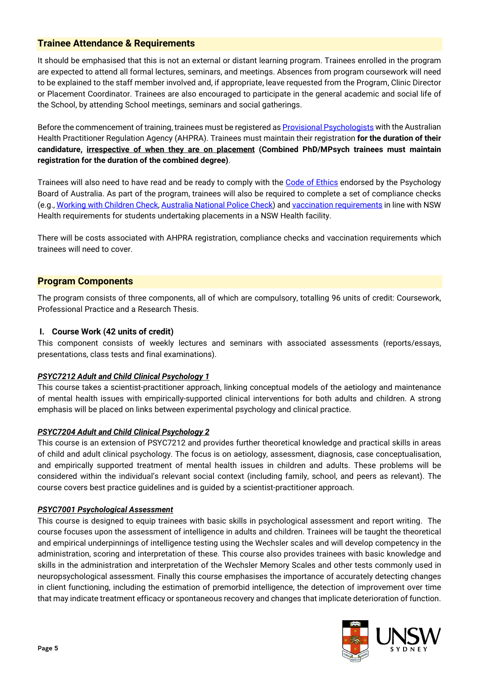# <span id="page-4-0"></span>**Trainee Attendance & Requirements**

It should be emphasised that this is not an external or distant learning program. Trainees enrolled in the program are expected to attend all formal lectures, seminars, and meetings. Absences from program coursework will need to be explained to the staff member involved and, if appropriate, leave requested from the Program, Clinic Director or Placement Coordinator. Trainees are also encouraged to participate in the general academic and social life of the School, by attending School meetings, seminars and social gatherings.

Before the commencement of training, trainees must be registered as **Provisional Psychologists** with the Australian Health Practitioner Regulation Agency (AHPRA). Trainees must maintain their registration **for the duration of their candidature, irrespective of when they are on placement (Combined PhD/MPsych trainees must maintain registration for the duration of the combined degree)**.

Trainees will also need to have read and be ready to comply with the [Code of Ethics](https://www.psychologyboard.gov.au/Standards-and-Guidelines/Code-of-conduct.aspx) endorsed by the Psychology Board of Australia. As part of the program, trainees will also be required to complete a set of compliance checks (e.g.[, Working with Children Check,](https://www.kidsguardian.nsw.gov.au/child-safe-organisations/working-with-children-check) [Australia National Police Check\)](https://www.acic.gov.au/our-services/national-police-checking-service) and vaccination [requirements](https://www.heti.nsw.gov.au/Placements-Scholarships-Grants/clinical-placements/student-compliance) in line with NSW Health requirements for students undertaking placements in a NSW Health facility.

There will be costs associated with AHPRA registration, compliance checks and vaccination requirements which trainees will need to cover.

# <span id="page-4-1"></span>**Program Components**

The program consists of three components, all of which are compulsory, totalling 96 units of credit: Coursework, Professional Practice and a Research Thesis.

#### **I. Course Work (42 units of credit)**

This component consists of weekly lectures and seminars with associated assessments (reports/essays, presentations, class tests and final examinations).

#### *PSYC7212 Adult and Child Clinical Psychology 1*

This course takes a scientist-practitioner approach, linking conceptual models of the aetiology and maintenance of mental health issues with empirically-supported clinical interventions for both adults and children. A strong emphasis will be placed on links between experimental psychology and clinical practice.

#### *[PSYC7204 Adult](http://www.handbook.unsw.edu.au/postgraduate/courses/current/PSYC7204.html) and Child Clinical Psychology 2*

This course is an extension of PSYC7212 and provides further theoretical knowledge and practical skills in areas of child and adult clinical psychology. The focus is on aetiology, assessment, diagnosis, case conceptualisation, and empirically supported treatment of mental health issues in children and adults. These problems will be considered within the individual's relevant social context (including family, school, and peers as relevant). The course covers best practice guidelines and is guided by a scientist-practitioner approach.

#### *PSYC7001 Psychological Assessment*

This course is designed to equip trainees with basic skills in psychological assessment and report writing. The course focuses upon the assessment of intelligence in adults and children. Trainees will be taught the theoretical and empirical underpinnings of intelligence testing using the Wechsler scales and will develop competency in the administration, scoring and interpretation of these. This course also provides trainees with basic knowledge and skills in the administration and interpretation of the Wechsler Memory Scales and other tests commonly used in neuropsychological assessment. Finally this course emphasises the importance of accurately detecting changes in client functioning, including the estimation of premorbid intelligence, the detection of improvement over time that may indicate treatment efficacy or spontaneous recovery and changes that implicate deterioration of function.

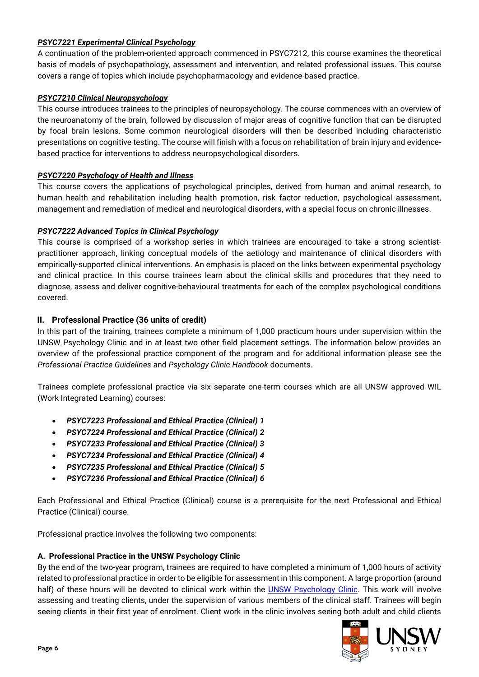#### *PSYC7221 Experimental Clinical Psychology*

A continuation of the problem-oriented approach commenced in PSYC7212, this course examines the theoretical basis of models of psychopathology, assessment and intervention, and related professional issues. This course covers a range of topics which include psychopharmacology and evidence-based practice.

# *[PSYC7210 Clinical Neuropsychology](http://www.handbook.unsw.edu.au/postgraduate/courses/current/PSYC7210.html)*

This course introduces trainees to the principles of neuropsychology. The course commences with an overview of the neuroanatomy of the brain, followed by discussion of major areas of cognitive function that can be disrupted by focal brain lesions. Some common neurological disorders will then be described including characteristic presentations on cognitive testing. The course will finish with a focus on rehabilitation of brain injury and evidencebased practice for interventions to address neuropsychological disorders.

# *[PSYC7220 Psychology of Health and Illness](http://www.handbook.unsw.edu.au/postgraduate/courses/current/PSYC7220.html)*

This course covers the applications of psychological principles, derived from human and animal research, to human health and rehabilitation including health promotion, risk factor reduction, psychological assessment, management and remediation of medical and neurological disorders, with a special focus on chronic illnesses.

# *[PSYC7222 Advanced Topics in](http://www.handbook.unsw.edu.au/postgraduate/courses/current/PSYC7222.html) Clinical Psychology*

This course is comprised of a workshop series in which trainees are encouraged to take a strong scientistpractitioner approach, linking conceptual models of the aetiology and maintenance of clinical disorders with empirically-supported clinical interventions. An emphasis is placed on the links between experimental psychology and clinical practice. In this course trainees learn about the clinical skills and procedures that they need to diagnose, assess and deliver cognitive-behavioural treatments for each of the complex psychological conditions covered.

# **II. Professional Practice (36 units of credit)**

In this part of the training, trainees complete a minimum of 1,000 practicum hours under supervision within the UNSW Psychology Clinic and in at least two other field placement settings. The information below provides an overview of the professional practice component of the program and for additional information please see the *Professional Practice Guidelines* and *Psychology Clinic Handbook* documents.

Trainees complete professional practice via six separate one-term courses which are all UNSW approved WIL (Work Integrated Learning) courses:

- *PSYC7223 Professional and Ethical Practice (Clinical) 1*
- *PSYC7224 Professional and Ethical Practice (Clinical) 2*
- *PSYC7233 Professional and Ethical Practice (Clinical) 3*
- *PSYC7234 Professional and Ethical Practice (Clinical) 4*
- *PSYC7235 Professional and Ethical Practice (Clinical) 5*
- *PSYC7236 Professional and Ethical Practice (Clinical) 6*

Each Professional and Ethical Practice (Clinical) course is a prerequisite for the next Professional and Ethical Practice (Clinical) course.

Professional practice involves the following two components:

#### **A. Professional Practice in the UNSW Psychology Clinic**

By the end of the two-year program, trainees are required to have completed a minimum of 1,000 hours of activity related to professional practice in order to be eligible for assessment in this component. A large proportion (around half) of these hours will be devoted to clinical work within the [UNSW Psychology Clinic.](http://www.clinic.psy.unsw.edu.au/) This work will involve assessing and treating clients, under the supervision of various members of the clinical staff. Trainees will begin seeing clients in their first year of enrolment. Client work in the clinic involves seeing both adult and child clients

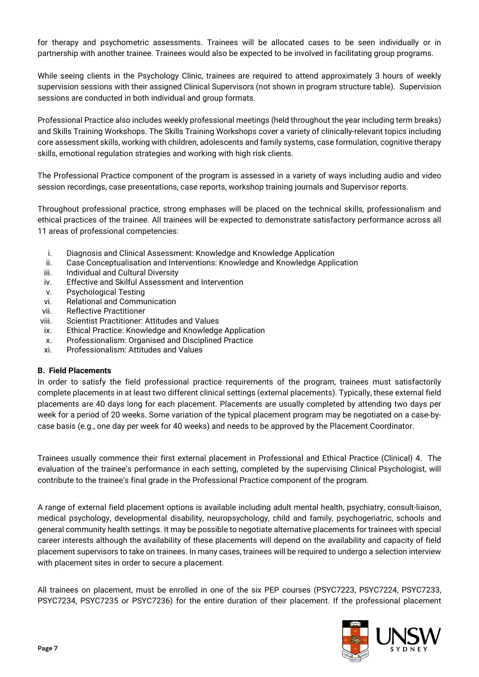for therapy and psychometric assessments. Trainees will be allocated cases to be seen individually or in partnership with another trainee. Trainees would also be expected to be involved in facilitating group programs.

While seeing clients in the Psychology Clinic, trainees are required to attend approximately 3 hours of weekly supervision sessions with their assigned Clinical Supervisors (not shown in program structure table). Supervision sessions are conducted in both individual and group formats.

Professional Practice also includes weekly professional meetings (held throughout the year including term breaks) and Skills Training Workshops. The Skills Training Workshops cover a variety of clinically-relevant topics including core assessment skills, working with children, adolescents and family systems, case formulation, cognitive therapy skills, emotional regulation strategies and working with high risk clients.

The Professional Practice component of the program is assessed in a variety of ways including audio and video session recordings, case presentations, case reports, workshop training journals and Supervisor reports.

Throughout professional practice, strong emphases will be placed on the technical skills, professionalism and ethical practices of the trainee. All trainees will be expected to demonstrate satisfactory performance across all 11 areas of professional competencies:

- i. Diagnosis and Clinical Assessment: Knowledge and Knowledge Application
- ii. Case Conceptualisation and Interventions: Knowledge and Knowledge Application
- iii. Individual and Cultural Diversity
- iv. Effective and Skilful Assessment and Intervention
- v. Psychological Testing
- vi. Relational and Communication
- vii. Reflective Practitioner
- viii. Scientist Practitioner: Attitudes and Values
- ix. Ethical Practice: Knowledge and Knowledge Application
- x. Professionalism: Organised and Disciplined Practice
- xi. Professionalism: Attitudes and Values

#### **B. Field Placements**

In order to satisfy the field professional practice requirements of the program, trainees must satisfactorily complete placements in at least two different clinical settings (external placements). Typically, these external field placements are 40 days long for each placement. Placements are usually completed by attending two days per week for a period of 20 weeks. Some variation of the typical placement program may be negotiated on a case-bycase basis (e.g., one day per week for 40 weeks) and needs to be approved by the Placement Coordinator.

Trainees usually commence their first external placement in Professional and Ethical Practice (Clinical) 4. The evaluation of the trainee's performance in each setting, completed by the supervising Clinical Psychologist, will contribute to the trainee's final grade in the Professional Practice component of the program.

A range of external field placement options is available including adult mental health, psychiatry, consult-liaison, medical psychology, developmental disability, neuropsychology, child and family, psychogeriatric, schools and general community health settings. It may be possible to negotiate alternative placements for trainees with special career interests although the availability of these placements will depend on the availability and capacity of field placement supervisors to take on trainees. In many cases, trainees will be required to undergo a selection interview with placement sites in order to secure a placement.

All trainees on placement, must be enrolled in one of the six PEP courses (PSYC7223, PSYC7224, PSYC7233, PSYC7234, PSYC7235 or PSYC7236) for the entire duration of their placement. If the professional placement

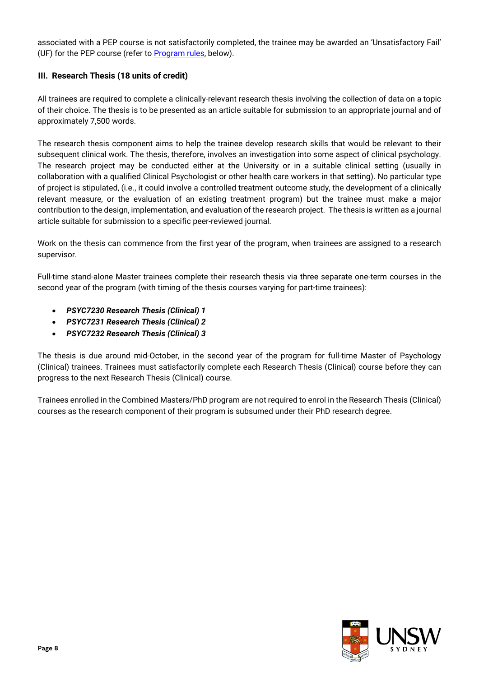associated with a PEP course is not satisfactorily completed, the trainee may be awarded an 'Unsatisfactory Fail' (UF) for the PEP course (refer to [Program rules,](#page-8-0) below).

# **III. Research Thesis (18 units of credit)**

All trainees are required to complete a clinically-relevant research thesis involving the collection of data on a topic of their choice. The thesis is to be presented as an article suitable for submission to an appropriate journal and of approximately 7,500 words.

The research thesis component aims to help the trainee develop research skills that would be relevant to their subsequent clinical work. The thesis, therefore, involves an investigation into some aspect of clinical psychology. The research project may be conducted either at the University or in a suitable clinical setting (usually in collaboration with a qualified Clinical Psychologist or other health care workers in that setting). No particular type of project is stipulated, (i.e., it could involve a controlled treatment outcome study, the development of a clinically relevant measure, or the evaluation of an existing treatment program) but the trainee must make a major contribution to the design, implementation, and evaluation of the research project. The thesis is written as a journal article suitable for submission to a specific peer-reviewed journal.

Work on the thesis can commence from the first year of the program, when trainees are assigned to a research supervisor.

Full-time stand-alone Master trainees complete their research thesis via three separate one-term courses in the second year of the program (with timing of the thesis courses varying for part-time trainees):

- *PSYC7230 Research Thesis (Clinical) 1*
- *PSYC7231 Research Thesis (Clinical) 2*
- *PSYC7232 Research Thesis (Clinical) 3*

The thesis is due around mid-October, in the second year of the program for full-time Master of Psychology (Clinical) trainees. Trainees must satisfactorily complete each Research Thesis (Clinical) course before they can progress to the next Research Thesis (Clinical) course.

Trainees enrolled in the Combined Masters/PhD program are not required to enrol in the Research Thesis (Clinical) courses as the research component of their program is subsumed under their PhD research degree.

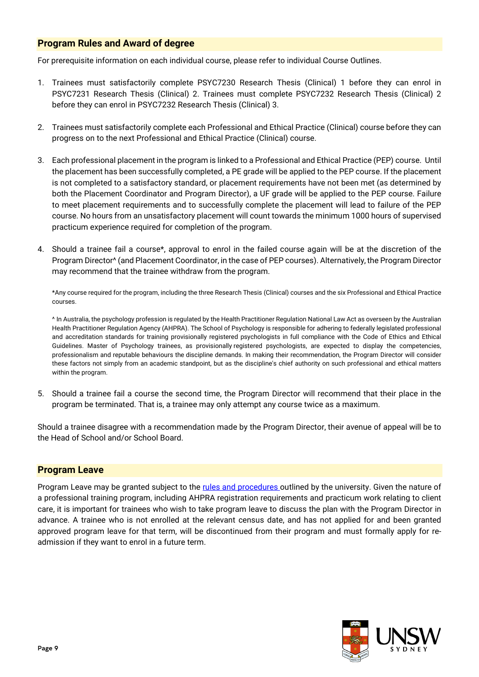# <span id="page-8-0"></span>**Program Rules and Award of degree**

For prerequisite information on each individual course, please refer to individual Course Outlines.

- 1. Trainees must satisfactorily complete PSYC7230 Research Thesis (Clinical) 1 before they can enrol in PSYC7231 Research Thesis (Clinical) 2. Trainees must complete PSYC7232 Research Thesis (Clinical) 2 before they can enrol in PSYC7232 Research Thesis (Clinical) 3.
- 2. Trainees must satisfactorily complete each Professional and Ethical Practice (Clinical) course before they can progress on to the next Professional and Ethical Practice (Clinical) course.
- 3. Each professional placement in the program is linked to a Professional and Ethical Practice (PEP) course. Until the placement has been successfully completed, a PE grade will be applied to the PEP course. If the placement is not completed to a satisfactory standard, or placement requirements have not been met (as determined by both the Placement Coordinator and Program Director), a UF grade will be applied to the PEP course. Failure to meet placement requirements and to successfully complete the placement will lead to failure of the PEP course. No hours from an unsatisfactory placement will count towards the minimum 1000 hours of supervised practicum experience required for completion of the program.
- 4. Should a trainee fail a course\*, approval to enrol in the failed course again will be at the discretion of the Program Director^ (and Placement Coordinator, in the case of PEP courses). Alternatively, the Program Director may recommend that the trainee withdraw from the program.

\*Any course required for the program, including the three Research Thesis (Clinical) courses and the six Professional and Ethical Practice courses.

^ In Australia, the psychology profession is regulated by the Health Practitioner Regulation National Law Act as overseen by the Australian Health Practitioner Regulation Agency (AHPRA). The School of Psychology is responsible for adhering to federally legislated professional and accreditation standards for training provisionally registered psychologists in full compliance with the Code of Ethics and Ethical Guidelines. Master of Psychology trainees, as provisionally registered psychologists, are expected to display the competencies, professionalism and reputable behaviours the discipline demands. In making their recommendation, the Program Director will consider these factors not simply from an academic standpoint, but as the discipline's chief authority on such professional and ethical matters within the program.

5. Should a trainee fail a course the second time, the Program Director will recommend that their place in the program be terminated. That is, a trainee may only attempt any course twice as a maximum.

Should a trainee disagree with a recommendation made by the Program Director, their avenue of appeal will be to the Head of School and/or School Board.

#### <span id="page-8-1"></span>**Program Leave**

<span id="page-8-2"></span>Program Leave may be granted subject to the [rules and procedures o](https://student.unsw.edu.au/program-leave)utlined by the university. Given the nature of a professional training program, including AHPRA registration requirements and practicum work relating to client care, it is important for trainees who wish to take program leave to discuss the plan with the Program Director in advance. A trainee who is not enrolled at the relevant census date, and has not applied for and been granted approved program leave for that term, will be discontinued from their program and must formally apply for readmission if they want to enrol in a future term.

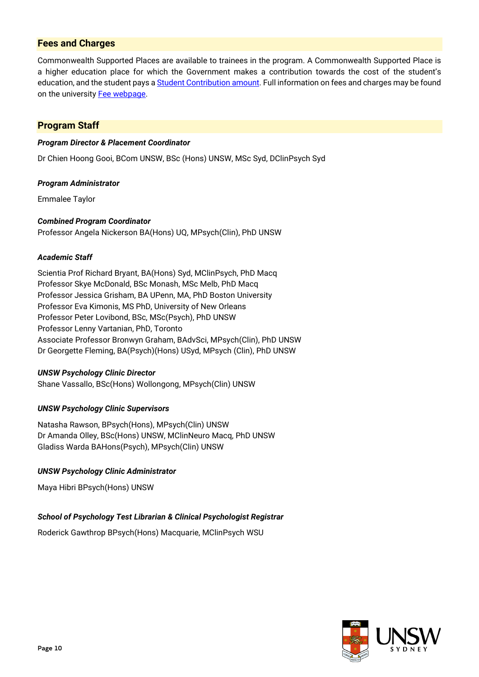# **Fees and Charges**

Commonwealth Supported Places are available to trainees in the program. A Commonwealth Supported Place is a higher education place for which the Government makes a contribution towards the cost of the student's education, and the student pays a **Student Contribution amount**. Full information on fees and charges may be found on the university [Fee webpage.](https://student.unsw.edu.au/fees)

# <span id="page-9-0"></span>**Program Staff**

#### *Program Director & Placement Coordinator*

Dr Chien Hoong Gooi, BCom UNSW, BSc (Hons) UNSW, MSc Syd, DClinPsych Syd

#### *Program Administrator*

Emmalee Taylor

#### *Combined Program Coordinator*

Professor Angela Nickerson BA(Hons) UQ, MPsych(Clin), PhD UNSW

#### *Academic Staff*

Scientia Prof Richard Bryant, BA(Hons) Syd, MClinPsych, PhD Macq Professor Skye McDonald, BSc Monash, MSc Melb, PhD Macq Professor Jessica Grisham, BA UPenn, MA, PhD Boston University Professor Eva Kimonis, MS PhD, University of New Orleans Professor Peter Lovibond, BSc, MSc(Psych), PhD UNSW Professor Lenny Vartanian, PhD, Toronto Associate Professor Bronwyn Graham, BAdvSci, MPsych(Clin), PhD UNSW Dr Georgette Fleming, BA(Psych)(Hons) USyd, MPsych (Clin), PhD UNSW

#### *UNSW Psychology Clinic Director*

Shane Vassallo, BSc(Hons) Wollongong, MPsych(Clin) UNSW

#### *UNSW Psychology Clinic Supervisors*

Natasha Rawson, BPsych(Hons), MPsych(Clin) UNSW Dr Amanda Olley, BSc(Hons) UNSW, MClinNeuro Macq, PhD UNSW Gladiss Warda BAHons(Psych), MPsych(Clin) UNSW

#### *UNSW Psychology Clinic Administrator*

Maya Hibri BPsych(Hons) UNSW

#### *School of Psychology Test Librarian & Clinical Psychologist Registrar*

Roderick Gawthrop BPsych(Hons) Macquarie, MClinPsych WSU